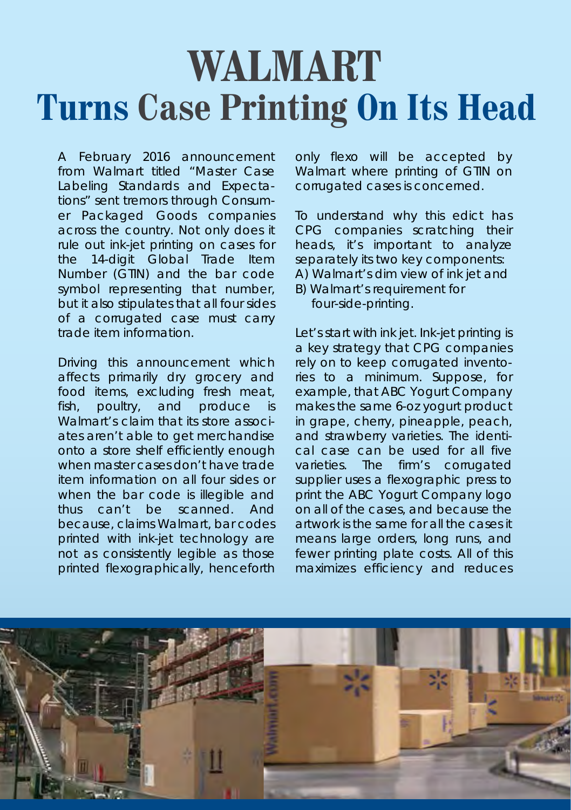## **WALMART Turns Case Printing On Its Head**

A February 2016 announcement A February 2016 announcement from Walmart titled "Master Case from Walmart titled "Master Case Labeling Standards and Expecta-Labeling Standards and Expectations" sent tremors through Consum-tions" sent tremors through Consumer Packaged Goods companies er Packaged Goods companies across the country. Not only does it across the country. Not only does it rule out ink-jet printing on cases for rule out ink-jet printing on cases for the 14-digit Global Trade Item the 14-digit Global Trade Item Number (GTIN) and the bar code Number (GTIN) and the bar code symbol representing that number, symbol representing that number, but it also stipulates that all four sides but it also stipulates that all four sides of a corrugated case must carry of a corrugated case must carry trade item information. trade item information.

Driving this announcement which Driving this announcement which affects primarily dry grocery and affects primarily dry grocery and food items, excluding fresh meat, food items, excluding fresh meat, fish, poultry, and produce is fish, poultry, and produce is Walmart's claim that its store associ-Walmart's claim that its store associates aren't able to get merchandise ates aren't able to get merchandise onto a store shelf efficiently enough onto a store shelf efficiently enough when master cases don't have trade when master cases don't have trade item information on all four sides or item information on all four sides or when the bar code is illegible and when the bar code is illegible and thus can't be scanned. And thus can't be scanned. And because, claims Walmart, bar codes because, claims Walmart, bar codes printed with ink-jet technology are printed with ink-jet technology are not as consistently legible as those not as consistently legible as those printed flexographically, henceforth printed flexographically, henceforth

only flexo will be accepted by only flexo will be accepted by Walmart where printing of GTIN on Walmart where printing of GTIN on corrugated cases is concerned. corrugated cases is concerned.

To understand why this edict has To understand why this edict has CPG companies scratching their CPG companies scratching their heads, it's important to analyze heads, it's important to analyze separately its two key components: separately its two key components:

- A) Walmart's dim view of ink jet and A) Walmart's dim view of ink jet and B) Walmart's requirement for B) Walmart's requirement for
	- four-side-printing. four-side-printing.

Let's start with ink jet. Ink-jet printing is Let's start with ink jet. Ink-jet printing is a key strategy that CPG companies a key strategy that CPG companies h crely on to keep corrugated inventories to a minimum. Suppose, for ries to a minimum. Suppose, for example, that ABC Yogurt Company example, that ABC Yogurt Company makes the same 6-oz yogurt product makes the same 6-oz yogurt product in grape, cherry, pineapple, peach, in grape, cherry, pineapple, peach, and strawberry varieties. The identi-and strawberry varieties. The identical case can be used for all five cal case can be used for all five varieties. The firm's corrugated varieties. The firm's corrugated supplier uses a flexographic press to supplier uses a flexographic press to print the ABC Yogurt Company logo print the ABC Yogurt Company logo on all of the cases, and because the on all of the cases, and because the artwork is the same for all the cases it artwork is the same for all the cases it means large orders, long runs, and means large orders, long runs, and fewer printing plate costs. All of this fewer printing plate costs. All of this maximizes efficiency and reduces maximizes efficiency and reduces